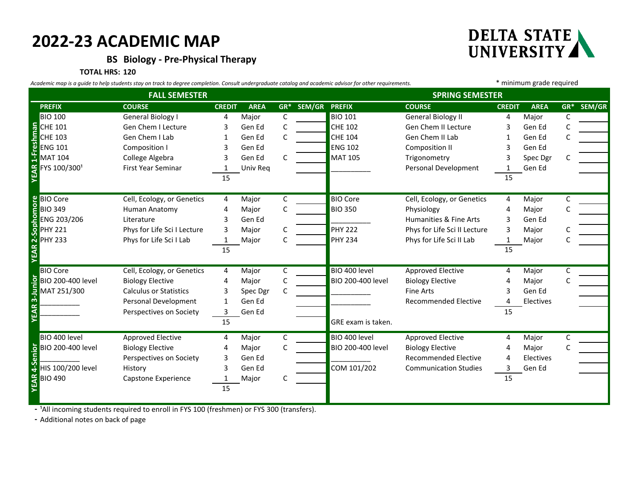## **2022-23 ACADEMIC MAP**

**BS Biology - Pre-Physical Therapy**

**TOTAL HRS: 120**

**YEAR 1-Freshman**

nman

**YEAR 2-Sophomore**

 $\mathbf{a}$ YEA

**YEAR 3-Junior**

EAR :

3-Junior

**YEAR 4-Senior**

AR4-Seni

*Academic map is a guide to help students stay on track to degree completion. Consult undergraduate catalog and academic advisor for other requirements.* \* minimum grade required **PREFIX COURSE CREDIT AREA GR\* SEM/GR PREFIX COURSE CREDIT AREA GR\* SEM/GR** BIO 100 General Biology I 4 Major C BIO 101 General Biology II 4 Major C CHE 101 Gen Chem I Lecture and Solid Chem Chem I Lecture and Solid Chem II Lecture and Gen Ed C CHE 103 Gen Chem I Lab 1 Gen Ed C <mark>CHE 104 Gen Chem II Lab 1 Gen Ed C</mark> ENG 101 Composition I 3 Gen Ed Composition II 3 Gen Ed ENG 102 Composition II 3 Gen Ed MAT 104 College Algebra 3 Gen Ed C MAT 105 Trigonometry 3 Spec Dgr C FIF THE COMPOSITION COMPOSITION COMPOSITION COMPOSITION COMPOSITION COMPOSITION COMPOSITION COMPOSITION COMPOSITION<br>THE MAT 104 College Algebra 3 Gen Ed C MAT 105 Trigonometry 3 Spec Dg<br>First Year Seminar 1 Univ Req \_\_\_\_\_\_  $\overline{15}$  15 BIO Core Cell, Ecology, or Genetics 4 Major C BIO Core Cell, Ecology, or Genetics 4 Major C BIO 349 Human Anatomy 4 Major C BIO 350 Physiology 4 Major C ENG 203/206 Literature 3 Gen Ed<br>
PHY 221 Phys for Life Sci I Lecture 3 Major C PHY 222 Phys for Life Sci II Lecture 3 Major<br>
PHY 222 Phys for Life Sci II Lecture 3 Major Phys for Life Sci I Lecture a Major C PHY 222 Phys for Life Sci II Lecture 3 Major C PHY 233 Phys for Life Sci I Lab 1 Major C PHY 234 Phys for Life Sci II Lab 1 Major C  $\overline{15}$  15 BIO Core Cell, Ecology, or Genetics 4 Major C BIO 400 level Approved Elective 4 Major C BIO 200-400 level Biology Elective 4 Major C BIO 200-400 level Biology Elective 4 Major C MAT 251/300 Calculus or Statistics and Spec Dgr C Contract Control of Time Arts and Scen Ed Personal Development 1 Gen Ed and 1 Gen Ed to the Recommended Elective 4 Electives Perspectives on Society and 3 Gen Ed 15 Second 15 Australian Second 15 Australian Second 15 Australian Second 15 15 BIO 400 level and Approved Elective and 4 Major C C BIO 400 level Approved Elective and Anajor C BIO 200-400 level Biology Elective 4 Major C BIO 200-400 level Biology Elective 4 Major C Perspectives on Society and 3 Gen Ed and 2 Gen Ed commended Elective 4 Electives HIS 100/200 level History Mistory 3 Gen Ed COM 101/202 Communication Studies 3 Gen Ed BIO 490 Capstone Experience 1 Major C 1 and 15 **FALL SEMESTER SPRING SEMESTER** GRE exam is taken.

- <sup>1</sup>All incoming students required to enroll in FYS 100 (freshmen) or FYS 300 (transfers).

15

**-** Additional notes on back of page

**DELTA STATE** UNIVERSITY